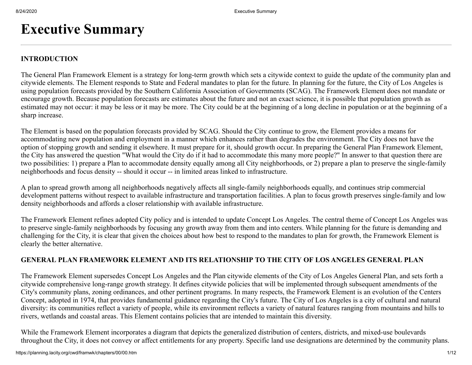# **Executive Summary**

### **INTRODUCTION**

The General Plan Framework Element is a strategy for long-term growth which sets a citywide context to guide the update of the community plan and citywide elements. The Element responds to State and Federal mandates to plan for the future. In planning for the future, the City of Los Angeles is using population forecasts provided by the Southern California Association of Governments (SCAG). The Framework Element does not mandate or encourage growth. Because population forecasts are estimates about the future and not an exact science, it is possible that population growth as estimated may not occur: it may be less or it may be more. The City could be at the beginning of a long decline in population or at the beginning of a sharp increase.

The Element is based on the population forecasts provided by SCAG. Should the City continue to grow, the Element provides a means for accommodating new population and employment in a manner which enhances rather than degrades the environment. The City does not have the option of stopping growth and sending it elsewhere. It must prepare for it, should growth occur. In preparing the General Plan Framework Element, the City has answered the question "What would the City do if it had to accommodate this many more people?" In answer to that question there are two possibilities: 1) prepare a Plan to accommodate density equally among all City neighborhoods, or 2) prepare a plan to preserve the single-family neighborhoods and focus density -- should it occur -- in limited areas linked to infrastructure.

A plan to spread growth among all neighborhoods negatively affects all single-family neighborhoods equally, and continues strip commercial development patterns without respect to available infrastructure and transportation facilities. A plan to focus growth preserves single-family and low density neighborhoods and affords a closer relationship with available infrastructure.

The Framework Element refines adopted City policy and is intended to update Concept Los Angeles. The central theme of Concept Los Angeles was to preserve single-family neighborhoods by focusing any growth away from them and into centers. While planning for the future is demanding and challenging for the City, it is clear that given the choices about how best to respond to the mandates to plan for growth, the Framework Element is clearly the better alternative.

### **GENERAL PLAN FRAMEWORK ELEMENT AND ITS RELATIONSHIP TO THE CITY OF LOS ANGELES GENERAL PLAN**

The Framework Element supersedes Concept Los Angeles and the Plan citywide elements of the City of Los Angeles General Plan, and sets forth a citywide comprehensive long-range growth strategy. It defines citywide policies that will be implemented through subsequent amendments of the City's community plans, zoning ordinances, and other pertinent programs. In many respects, the Framework Element is an evolution of the Centers Concept, adopted in 1974, that provides fundamental guidance regarding the City's future. The City of Los Angeles is a city of cultural and natural diversity: its communities reflect a variety of people, while its environment reflects a variety of natural features ranging from mountains and hills to rivers, wetlands and coastal areas. This Element contains policies that are intended to maintain this diversity.

While the Framework Element incorporates a diagram that depicts the generalized distribution of centers, districts, and mixed-use boulevards throughout the City, it does not convey or affect entitlements for any property. Specific land use designations are determined by the community plans.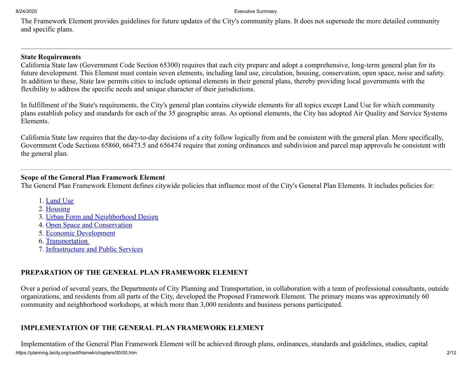The Framework Element provides guidelines for future updates of the City's community plans. It does not supersede the more detailed community and specific plans.

### **State Requirements**

California State law (Government Code Section 65300) requires that each city prepare and adopt a comprehensive, long-term general plan for its future development. This Element must contain seven elements, including land use, circulation, housing, conservation, open space, noise and safety. In addition to these, State law permits cities to include optional elements in their general plans, thereby providing local governments with the flexibility to address the specific needs and unique character of their jurisdictions.

In fulfillment of the State's requirements, the City's general plan contains citywide elements for all topics except Land Use for which community plans establish policy and standards for each of the 35 geographic areas. As optional elements, the City has adopted Air Quality and Service Systems Elements.

California State law requires that the day-to-day decisions of a city follow logically from and be consistent with the general plan. More specifically, Government Code Sections 65860, 66473.5 and 656474 require that zoning ordinances and subdivision and parcel map approvals be consistent with the general plan.

### **Scope of the General Plan Framework Element**

The General Plan Framework Element defines citywide policies that influence most of the City's General Plan Elements. It includes policies for:

- 1. [Land Use](https://planning.lacity.org/cwd/framwk/chapters/03/03.htm)
- 2. [Housing](https://planning.lacity.org/cwd/framwk/chapters/04/04.htm)
- 3. [Urban Form and Neighborhood Design](https://planning.lacity.org/cwd/framwk/chapters/05/05.htm)
- 4. [Open Space and Conservation](https://planning.lacity.org/cwd/framwk/chapters/06/06.htm)
- 5. [Economic Development](https://planning.lacity.org/cwd/framwk/chapters/07/07.htm)
- 6. [Transportation](https://planning.lacity.org/cwd/framwk/chapters/08/08.htm)
- 7. [Infrastructure and Public Services](https://planning.lacity.org/cwd/framwk/chapters/09/09.htm)

# **PREPARATION OF THE GENERAL PLAN FRAMEWORK ELEMENT**

Over a period of several years, the Departments of City Planning and Transportation, in collaboration with a team of professional consultants, outside organizations, and residents from all parts of the City, developed the Proposed Framework Element. The primary means was approximately 60 community and neighborhood workshops, at which more than 3,000 residents and business persons participated.

# **IMPLEMENTATION OF THE GENERAL PLAN FRAMEWORK ELEMENT**

https://planning.lacity.org/cwd/framwk/chapters/00/00.htm 2/12 Implementation of the General Plan Framework Element will be achieved through plans, ordinances, standards and guidelines, studies, capital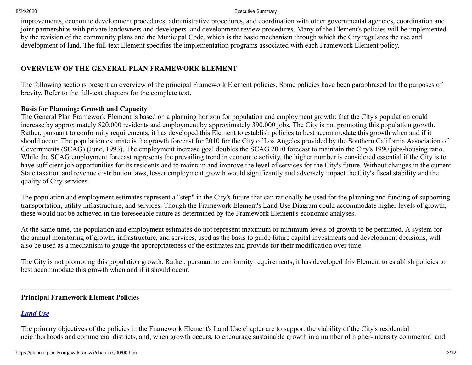improvements, economic development procedures, administrative procedures, and coordination with other governmental agencies, coordination and joint partnerships with private landowners and developers, and development review procedures. Many of the Element's policies will be implemented by the revision of the community plans and the Municipal Code, which is the basic mechanism through which the City regulates the use and development of land. The full-text Element specifies the implementation programs associated with each Framework Element policy.

# **OVERVIEW OF THE GENERAL PLAN FRAMEWORK ELEMENT**

The following sections present an overview of the principal Framework Element policies. Some policies have been paraphrased for the purposes of brevity. Refer to the full-text chapters for the complete text.

# **Basis for Planning: Growth and Capacity**

The General Plan Framework Element is based on a planning horizon for population and employment growth: that the City's population could increase by approximately 820,000 residents and employment by approximately 390,000 jobs. The City is not promoting this population growth. Rather, pursuant to conformity requirements, it has developed this Element to establish policies to best accommodate this growth when and if it should occur. The population estimate is the growth forecast for 2010 for the City of Los Angeles provided by the Southern California Association of Governments (SCAG) (June, 1993). The employment increase goal doubles the SCAG 2010 forecast to maintain the City's 1990 jobs-housing ratio. While the SCAG employment forecast represents the prevailing trend in economic activity, the higher number is considered essential if the City is to have sufficient job opportunities for its residents and to maintain and improve the level of services for the City's future. Without changes in the current State taxation and revenue distribution laws, lesser employment growth would significantly and adversely impact the City's fiscal stability and the quality of City services.

The population and employment estimates represent a "step" in the City's future that can rationally be used for the planning and funding of supporting transportation, utility infrastructure, and services. Though the Framework Element's Land Use Diagram could accommodate higher levels of growth, these would not be achieved in the foreseeable future as determined by the Framework Element's economic analyses.

At the same time, the population and employment estimates do not represent maximum or minimum levels of growth to be permitted. A system for the annual monitoring of growth, infrastructure, and services, used as the basis to guide future capital investments and development decisions, will also be used as a mechanism to gauge the appropriateness of the estimates and provide for their modification over time.

The City is not promoting this population growth. Rather, pursuant to conformity requirements, it has developed this Element to establish policies to best accommodate this growth when and if it should occur.

# **Principal Framework Element Policies**

# *[Land Use](https://planning.lacity.org/cwd/framwk/chapters/03/03.htm)*

The primary objectives of the policies in the Framework Element's Land Use chapter are to support the viability of the City's residential neighborhoods and commercial districts, and, when growth occurs, to encourage sustainable growth in a number of higher-intensity commercial and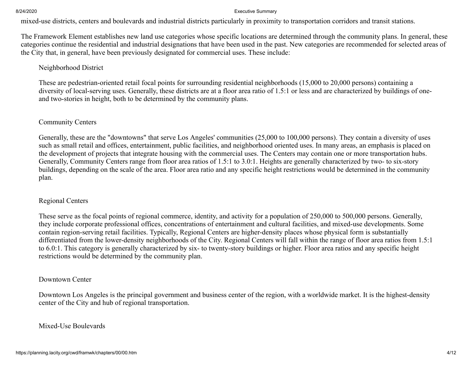mixed-use districts, centers and boulevards and industrial districts particularly in proximity to transportation corridors and transit stations.

The Framework Element establishes new land use categories whose specific locations are determined through the community plans. In general, these categories continue the residential and industrial designations that have been used in the past. New categories are recommended for selected areas of the City that, in general, have been previously designated for commercial uses. These include:

### Neighborhood District

These are pedestrian-oriented retail focal points for surrounding residential neighborhoods (15,000 to 20,000 persons) containing a diversity of local-serving uses. Generally, these districts are at a floor area ratio of 1.5:1 or less and are characterized by buildings of oneand two-stories in height, both to be determined by the community plans.

### Community Centers

Generally, these are the "downtowns" that serve Los Angeles' communities (25,000 to 100,000 persons). They contain a diversity of uses such as small retail and offices, entertainment, public facilities, and neighborhood oriented uses. In many areas, an emphasis is placed on the development of projects that integrate housing with the commercial uses. The Centers may contain one or more transportation hubs. Generally, Community Centers range from floor area ratios of 1.5:1 to 3.0:1. Heights are generally characterized by two- to six-story buildings, depending on the scale of the area. Floor area ratio and any specific height restrictions would be determined in the community plan.

### Regional Centers

These serve as the focal points of regional commerce, identity, and activity for a population of 250,000 to 500,000 persons. Generally, they include corporate professional offices, concentrations of entertainment and cultural facilities, and mixed-use developments. Some contain region-serving retail facilities. Typically, Regional Centers are higher-density places whose physical form is substantially differentiated from the lower-density neighborhoods of the City. Regional Centers will fall within the range of floor area ratios from 1.5:1 to 6.0:1. This category is generally characterized by six- to twenty-story buildings or higher. Floor area ratios and any specific height restrictions would be determined by the community plan.

### Downtown Center

Downtown Los Angeles is the principal government and business center of the region, with a worldwide market. It is the highest-density center of the City and hub of regional transportation.

### Mixed-Use Boulevards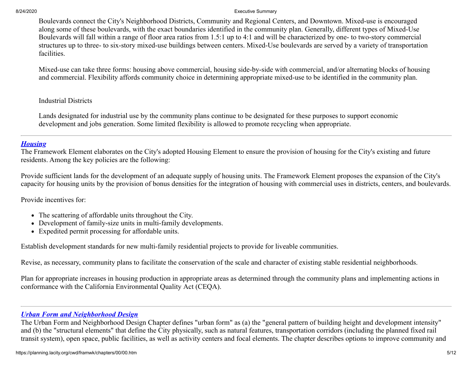Boulevards connect the City's Neighborhood Districts, Community and Regional Centers, and Downtown. Mixed-use is encouraged along some of these boulevards, with the exact boundaries identified in the community plan. Generally, different types of Mixed-Use Boulevards will fall within a range of floor area ratios from 1.5:1 up to 4:1 and will be characterized by one- to two-story commercial structures up to three- to six-story mixed-use buildings between centers. Mixed-Use boulevards are served by a variety of transportation facilities.

Mixed-use can take three forms: housing above commercial, housing side-by-side with commercial, and/or alternating blocks of housing and commercial. Flexibility affords community choice in determining appropriate mixed-use to be identified in the community plan.

### Industrial Districts

Lands designated for industrial use by the community plans continue to be designated for these purposes to support economic development and jobs generation. Some limited flexibility is allowed to promote recycling when appropriate.

### *[Housing](https://planning.lacity.org/cwd/framwk/chapters/04/04.htm)*

The Framework Element elaborates on the City's adopted Housing Element to ensure the provision of housing for the City's existing and future residents. Among the key policies are the following:

Provide sufficient lands for the development of an adequate supply of housing units. The Framework Element proposes the expansion of the City's capacity for housing units by the provision of bonus densities for the integration of housing with commercial uses in districts, centers, and boulevards.

Provide incentives for:

- The scattering of affordable units throughout the City.
- Development of family-size units in multi-family developments.
- Expedited permit processing for affordable units.

Establish development standards for new multi-family residential projects to provide for liveable communities.

Revise, as necessary, community plans to facilitate the conservation of the scale and character of existing stable residential neighborhoods.

Plan for appropriate increases in housing production in appropriate areas as determined through the community plans and implementing actions in conformance with the California Environmental Quality Act (CEQA).

### *[Urban Form and Neighborhood Design](https://planning.lacity.org/cwd/framwk/chapters/05/05.htm)*

The Urban Form and Neighborhood Design Chapter defines "urban form" as (a) the "general pattern of building height and development intensity" and (b) the "structural elements" that define the City physically, such as natural features, transportation corridors (including the planned fixed rail transit system), open space, public facilities, as well as activity centers and focal elements. The chapter describes options to improve community and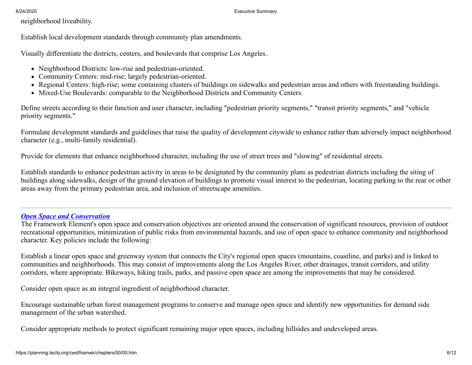neighborhood liveability.

Establish local development standards through community plan amendments.

Visually differentiate the districts, centers, and boulevards that comprise Los Angeles.

- Neighborhood Districts: low-rise and pedestrian-oriented.
- Community Centers: mid-rise; largely pedestrian-oriented.
- Regional Centers: high-rise; some containing clusters of buildings on sidewalks and pedestrian areas and others with freestanding buildings.
- Mixed-Use Boulevards: comparable to the Neighborhood Districts and Community Centers.

Define streets according to their function and user character, including "pedestrian priority segments," "transit priority segments," and "vehicle priority segments."

Formulate development standards and guidelines that raise the quality of development citywide to enhance rather than adversely impact neighborhood character (e.g., multi-family residential).

Provide for elements that enhance neighborhood character, including the use of street trees and "slowing" of residential streets.

Establish standards to enhance pedestrian activity in areas to be designated by the community plans as pedestrian districts including the siting of buildings along sidewalks, design of the ground elevation of buildings to promote visual interest to the pedestrian, locating parking to the rear or other areas away from the primary pedestrian area, and inclusion of streetscape amenities.

# *[Open Space and Conservation](https://planning.lacity.org/cwd/framwk/chapters/06/06.htm)*

The Framework Element's open space and conservation objectives are oriented around the conservation of significant resources, provision of outdoor recreational opportunities, minimization of public risks from environmental hazards, and use of open space to enhance community and neighborhood character. Key policies include the following:

Establish a linear open space and greenway system that connects the City's regional open spaces (mountains, coastline, and parks) and is linked to communities and neighborhoods. This may consist of improvements along the Los Angeles River, other drainages, transit corridors, and utility corridors, where appropriate. Bikeways, hiking trails, parks, and passive open space are among the improvements that may be considered.

Consider open space as an integral ingredient of neighborhood character.

Encourage sustainable urban forest management programs to conserve and manage open space and identify new opportunities for demand side management of the urban watershed.

Consider appropriate methods to protect significant remaining major open spaces, including hillsides and undeveloped areas.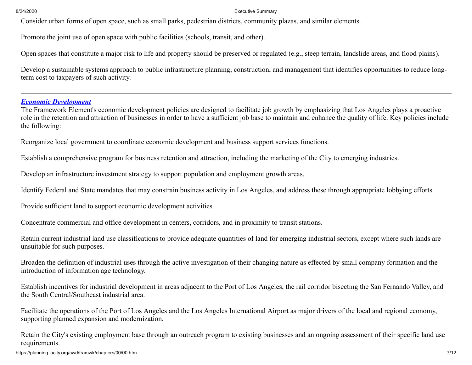Consider urban forms of open space, such as small parks, pedestrian districts, community plazas, and similar elements.

Promote the joint use of open space with public facilities (schools, transit, and other).

Open spaces that constitute a major risk to life and property should be preserved or regulated (e.g., steep terrain, landslide areas, and flood plains).

Develop a sustainable systems approach to public infrastructure planning, construction, and management that identifies opportunities to reduce longterm cost to taxpayers of such activity.

### *[Economic Development](https://planning.lacity.org/cwd/framwk/chapters/07/07.htm)*

The Framework Element's economic development policies are designed to facilitate job growth by emphasizing that Los Angeles plays a proactive role in the retention and attraction of businesses in order to have a sufficient job base to maintain and enhance the quality of life. Key policies include the following:

Reorganize local government to coordinate economic development and business support services functions.

Establish a comprehensive program for business retention and attraction, including the marketing of the City to emerging industries.

Develop an infrastructure investment strategy to support population and employment growth areas.

Identify Federal and State mandates that may constrain business activity in Los Angeles, and address these through appropriate lobbying efforts.

Provide sufficient land to support economic development activities.

Concentrate commercial and office development in centers, corridors, and in proximity to transit stations.

Retain current industrial land use classifications to provide adequate quantities of land for emerging industrial sectors, except where such lands are unsuitable for such purposes.

Broaden the definition of industrial uses through the active investigation of their changing nature as effected by small company formation and the introduction of information age technology.

Establish incentives for industrial development in areas adjacent to the Port of Los Angeles, the rail corridor bisecting the San Fernando Valley, and the South Central/Southeast industrial area.

Facilitate the operations of the Port of Los Angeles and the Los Angeles International Airport as major drivers of the local and regional economy, supporting planned expansion and modernization.

Retain the City's existing employment base through an outreach program to existing businesses and an ongoing assessment of their specific land use requirements.

https://planning.lacity.org/cwd/framwk/chapters/00/00.htm 7/12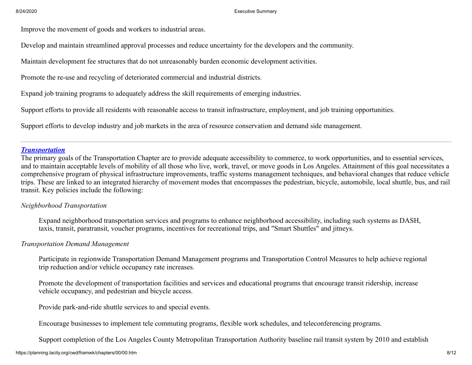Improve the movement of goods and workers to industrial areas.

Develop and maintain streamlined approval processes and reduce uncertainty for the developers and the community.

Maintain development fee structures that do not unreasonably burden economic development activities.

Promote the re-use and recycling of deteriorated commercial and industrial districts.

Expand job training programs to adequately address the skill requirements of emerging industries.

Support efforts to provide all residents with reasonable access to transit infrastructure, employment, and job training opportunities.

Support efforts to develop industry and job markets in the area of resource conservation and demand side management.

### *[Transportation](https://planning.lacity.org/cwd/framwk/chapters/08/08.htm)*

The primary goals of the Transportation Chapter are to provide adequate accessibility to commerce, to work opportunities, and to essential services, and to maintain acceptable levels of mobility of all those who live, work, travel, or move goods in Los Angeles. Attainment of this goal necessitates a comprehensive program of physical infrastructure improvements, traffic systems management techniques, and behavioral changes that reduce vehicle trips. These are linked to an integrated hierarchy of movement modes that encompasses the pedestrian, bicycle, automobile, local shuttle, bus, and rail transit. Key policies include the following:

### *Neighborhood Transportation*

Expand neighborhood transportation services and programs to enhance neighborhood accessibility, including such systems as DASH, taxis, transit, paratransit, voucher programs, incentives for recreational trips, and "Smart Shuttles" and jitneys.

### *Transportation Demand Management*

Participate in regionwide Transportation Demand Management programs and Transportation Control Measures to help achieve regional trip reduction and/or vehicle occupancy rate increases.

Promote the development of transportation facilities and services and educational programs that encourage transit ridership, increase vehicle occupancy, and pedestrian and bicycle access.

Provide park-and-ride shuttle services to and special events.

Encourage businesses to implement tele commuting programs, flexible work schedules, and teleconferencing programs.

Support completion of the Los Angeles County Metropolitan Transportation Authority baseline rail transit system by 2010 and establish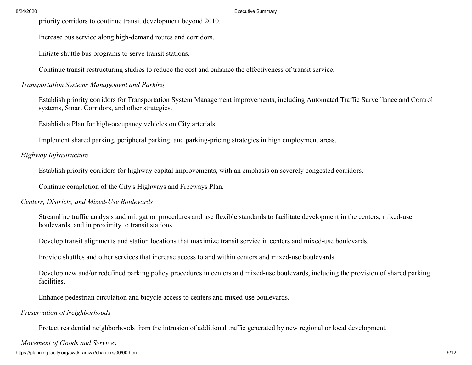priority corridors to continue transit development beyond 2010.

Increase bus service along high-demand routes and corridors.

Initiate shuttle bus programs to serve transit stations.

Continue transit restructuring studies to reduce the cost and enhance the effectiveness of transit service.

### *Transportation Systems Management and Parking*

Establish priority corridors for Transportation System Management improvements, including Automated Traffic Surveillance and Control systems, Smart Corridors, and other strategies.

Establish a Plan for high-occupancy vehicles on City arterials.

Implement shared parking, peripheral parking, and parking-pricing strategies in high employment areas.

# *Highway Infrastructure*

Establish priority corridors for highway capital improvements, with an emphasis on severely congested corridors.

Continue completion of the City's Highways and Freeways Plan.

### *Centers, Districts, and Mixed-Use Boulevards*

Streamline traffic analysis and mitigation procedures and use flexible standards to facilitate development in the centers, mixed-use boulevards, and in proximity to transit stations.

Develop transit alignments and station locations that maximize transit service in centers and mixed-use boulevards.

Provide shuttles and other services that increase access to and within centers and mixed-use boulevards.

Develop new and/or redefined parking policy procedures in centers and mixed-use boulevards, including the provision of shared parking facilities.

Enhance pedestrian circulation and bicycle access to centers and mixed-use boulevards.

# *Preservation of Neighborhoods*

Protect residential neighborhoods from the intrusion of additional traffic generated by new regional or local development.

### *Movement of Goods and Services*

https://planning.lacity.org/cwd/framwk/chapters/00/00.htm 9/12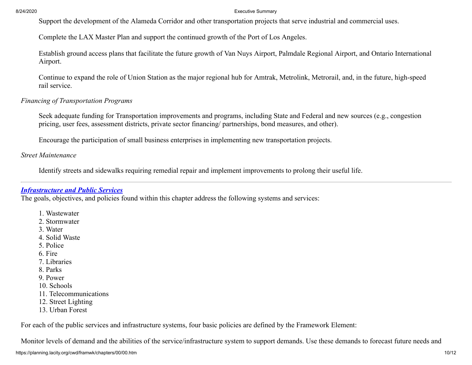Support the development of the Alameda Corridor and other transportation projects that serve industrial and commercial uses.

Complete the LAX Master Plan and support the continued growth of the Port of Los Angeles.

Establish ground access plans that facilitate the future growth of Van Nuys Airport, Palmdale Regional Airport, and Ontario International Airport.

Continue to expand the role of Union Station as the major regional hub for Amtrak, Metrolink, Metrorail, and, in the future, high-speed rail service.

### *Financing of Transportation Programs*

Seek adequate funding for Transportation improvements and programs, including State and Federal and new sources (e.g., congestion pricing, user fees, assessment districts, private sector financing/ partnerships, bond measures, and other).

Encourage the participation of small business enterprises in implementing new transportation projects.

*Street Maintenance*

Identify streets and sidewalks requiring remedial repair and implement improvements to prolong their useful life.

### *[Infrastructure and Public Services](https://planning.lacity.org/cwd/framwk/chapters/09/09.htm)*

The goals, objectives, and policies found within this chapter address the following systems and services:

- 1. Wastewater
- 2. Stormwater
- 3. Water
- 4. Solid Waste
- 5. Police
- 6. Fire
- 7. Libraries
- 8. Parks
- 9. Power
- 10. Schools
- 11. Telecommunications
- 12. Street Lighting
- 13. Urban Forest

For each of the public services and infrastructure systems, four basic policies are defined by the Framework Element:

Monitor levels of demand and the abilities of the service/infrastructure system to support demands. Use these demands to forecast future needs and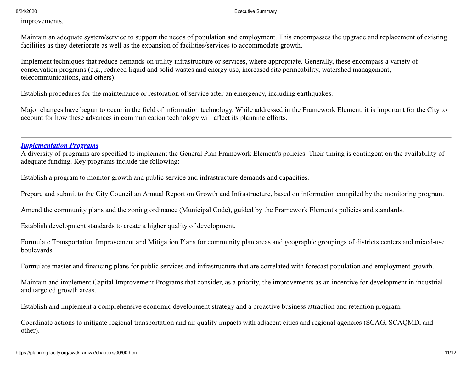improvements.

Maintain an adequate system/service to support the needs of population and employment. This encompasses the upgrade and replacement of existing facilities as they deteriorate as well as the expansion of facilities/services to accommodate growth.

Implement techniques that reduce demands on utility infrastructure or services, where appropriate. Generally, these encompass a variety of conservation programs (e.g., reduced liquid and solid wastes and energy use, increased site permeability, watershed management, telecommunications, and others).

Establish procedures for the maintenance or restoration of service after an emergency, including earthquakes.

Major changes have begun to occur in the field of information technology. While addressed in the Framework Element, it is important for the City to account for how these advances in communication technology will affect its planning efforts.

### *[Implementation Programs](https://planning.lacity.org/cwd/framwk/chapters/10/10.htm)*

A diversity of programs are specified to implement the General Plan Framework Element's policies. Their timing is contingent on the availability of adequate funding. Key programs include the following:

Establish a program to monitor growth and public service and infrastructure demands and capacities.

Prepare and submit to the City Council an Annual Report on Growth and Infrastructure, based on information compiled by the monitoring program.

Amend the community plans and the zoning ordinance (Municipal Code), guided by the Framework Element's policies and standards.

Establish development standards to create a higher quality of development.

Formulate Transportation Improvement and Mitigation Plans for community plan areas and geographic groupings of districts centers and mixed-use boulevards.

Formulate master and financing plans for public services and infrastructure that are correlated with forecast population and employment growth.

Maintain and implement Capital Improvement Programs that consider, as a priority, the improvements as an incentive for development in industrial and targeted growth areas.

Establish and implement a comprehensive economic development strategy and a proactive business attraction and retention program.

Coordinate actions to mitigate regional transportation and air quality impacts with adjacent cities and regional agencies (SCAG, SCAQMD, and other).